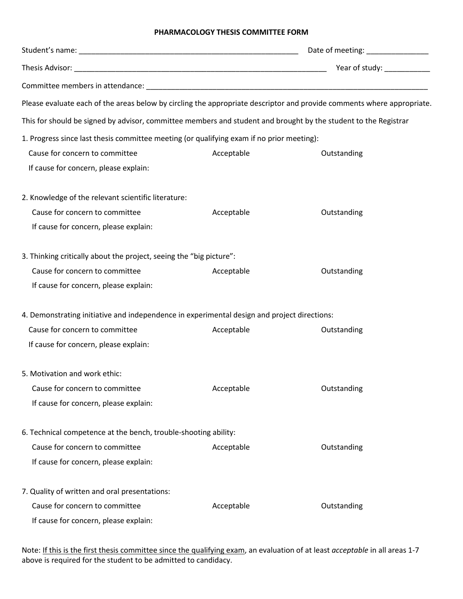## **PHARMACOLOGY THESIS COMMITTEE FORM**

|                                                                                                                        |            | Date of meeting: ________________ |
|------------------------------------------------------------------------------------------------------------------------|------------|-----------------------------------|
|                                                                                                                        |            | Year of study: ______________     |
|                                                                                                                        |            |                                   |
| Please evaluate each of the areas below by circling the appropriate descriptor and provide comments where appropriate. |            |                                   |
| This for should be signed by advisor, committee members and student and brought by the student to the Registrar        |            |                                   |
| 1. Progress since last thesis committee meeting (or qualifying exam if no prior meeting):                              |            |                                   |
| Cause for concern to committee                                                                                         | Acceptable | Outstanding                       |
| If cause for concern, please explain:                                                                                  |            |                                   |
| 2. Knowledge of the relevant scientific literature:                                                                    |            |                                   |
| Cause for concern to committee                                                                                         | Acceptable | Outstanding                       |
| If cause for concern, please explain:                                                                                  |            |                                   |
| 3. Thinking critically about the project, seeing the "big picture":                                                    |            |                                   |
| Cause for concern to committee                                                                                         | Acceptable | Outstanding                       |
| If cause for concern, please explain:                                                                                  |            |                                   |
| 4. Demonstrating initiative and independence in experimental design and project directions:                            |            |                                   |
| Cause for concern to committee                                                                                         | Acceptable | Outstanding                       |
| If cause for concern, please explain:                                                                                  |            |                                   |
| 5. Motivation and work ethic:                                                                                          |            |                                   |
| Cause for concern to committee                                                                                         | Acceptable | Outstanding                       |
| If cause for concern, please explain:                                                                                  |            |                                   |
| 6. Technical competence at the bench, trouble-shooting ability:                                                        |            |                                   |
| Cause for concern to committee                                                                                         | Acceptable | Outstanding                       |
| If cause for concern, please explain:                                                                                  |            |                                   |
| 7. Quality of written and oral presentations:                                                                          |            |                                   |
| Cause for concern to committee                                                                                         | Acceptable | Outstanding                       |
| If cause for concern, please explain:                                                                                  |            |                                   |

Note: If this is the first thesis committee since the qualifying exam, an evaluation of at least *acceptable* in all areas 1-7 above is required for the student to be admitted to candidacy.